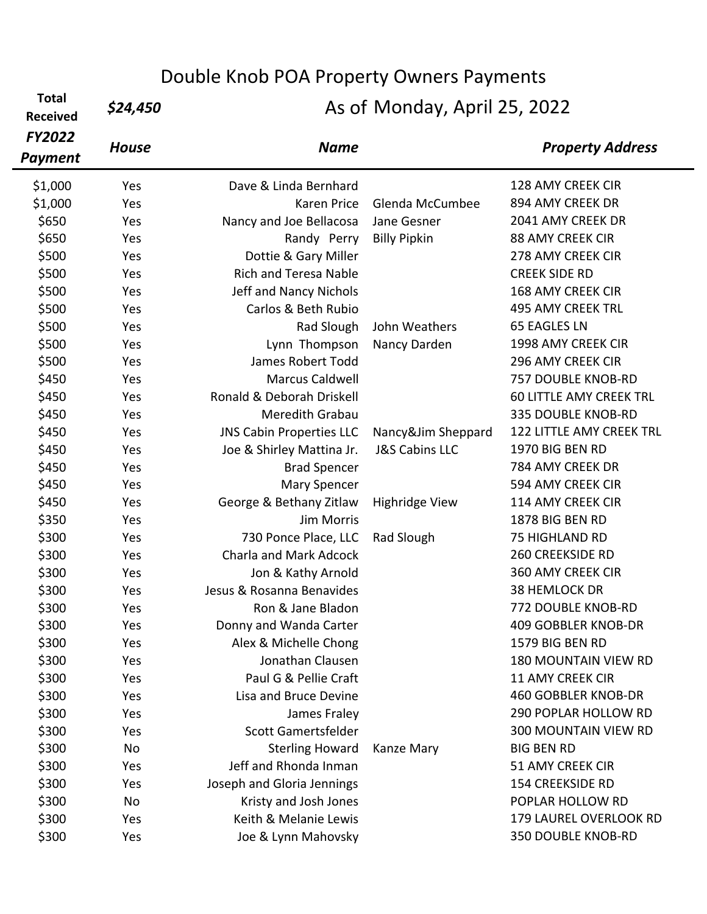| <b>Total</b><br><b>Received</b> | \$24,450     | DUUDIC NIIUD FUA FIUDEITY OWNED FAYINCING<br>As of Monday, April 25, 2022 |                           |                                 |  |
|---------------------------------|--------------|---------------------------------------------------------------------------|---------------------------|---------------------------------|--|
| <b>FY2022</b><br><b>Payment</b> | <b>House</b> | <b>Name</b>                                                               |                           | <b>Property Address</b>         |  |
| \$1,000                         | Yes          | Dave & Linda Bernhard                                                     |                           | 128 AMY CREEK CIR               |  |
| \$1,000                         | Yes          | Karen Price                                                               | Glenda McCumbee           | 894 AMY CREEK DR                |  |
| \$650                           | Yes          | Nancy and Joe Bellacosa                                                   | Jane Gesner               | 2041 AMY CREEK DR               |  |
| \$650                           | Yes          | Randy Perry                                                               | <b>Billy Pipkin</b>       | <b>88 AMY CREEK CIR</b>         |  |
| \$500                           | Yes          | Dottie & Gary Miller                                                      |                           | 278 AMY CREEK CIR               |  |
| \$500                           | Yes          | <b>Rich and Teresa Nable</b>                                              |                           | <b>CREEK SIDE RD</b>            |  |
| \$500                           | Yes          | Jeff and Nancy Nichols                                                    |                           | <b>168 AMY CREEK CIR</b>        |  |
| \$500                           | Yes          | Carlos & Beth Rubio                                                       |                           | <b>495 AMY CREEK TRL</b>        |  |
| \$500                           | Yes          | Rad Slough                                                                | John Weathers             | <b>65 EAGLES LN</b>             |  |
| \$500                           | Yes          | Lynn Thompson                                                             | Nancy Darden              | 1998 AMY CREEK CIR              |  |
| \$500                           | Yes          | James Robert Todd                                                         |                           | 296 AMY CREEK CIR               |  |
| \$450                           | Yes          | <b>Marcus Caldwell</b>                                                    |                           | 757 DOUBLE KNOB-RD              |  |
| \$450                           | Yes          | Ronald & Deborah Driskell                                                 |                           | <b>60 LITTLE AMY CREEK TRL</b>  |  |
| \$450                           | Yes          | Meredith Grabau                                                           |                           | 335 DOUBLE KNOB-RD              |  |
| \$450                           | Yes          | <b>JNS Cabin Properties LLC</b>                                           | Nancy&Jim Sheppard        | <b>122 LITTLE AMY CREEK TRL</b> |  |
| \$450                           | Yes          | Joe & Shirley Mattina Jr.                                                 | <b>J&amp;S Cabins LLC</b> | 1970 BIG BEN RD                 |  |
| \$450                           | Yes          | <b>Brad Spencer</b>                                                       |                           | 784 AMY CREEK DR                |  |
| \$450                           | Yes          | Mary Spencer                                                              |                           | 594 AMY CREEK CIR               |  |
| \$450                           | Yes          | George & Bethany Zitlaw                                                   | <b>Highridge View</b>     | 114 AMY CREEK CIR               |  |
| \$350                           | Yes          | Jim Morris                                                                |                           | 1878 BIG BEN RD                 |  |
| \$300                           | Yes          | 730 Ponce Place, LLC                                                      | Rad Slough                | 75 HIGHLAND RD                  |  |
| \$300                           | Yes          | <b>Charla and Mark Adcock</b>                                             |                           | <b>260 CREEKSIDE RD</b>         |  |
| \$300                           | Yes          | Jon & Kathy Arnold                                                        |                           | <b>360 AMY CREEK CIR</b>        |  |
| \$300                           | Yes          | Jesus & Rosanna Benavides                                                 |                           | 38 HEMLOCK DR                   |  |
| \$300                           | Yes          | Ron & Jane Bladon                                                         |                           | <b>772 DOUBLE KNOB-RD</b>       |  |
| \$300                           | Yes          | Donny and Wanda Carter                                                    |                           | 409 GOBBLER KNOB-DR             |  |
| \$300                           | Yes          | Alex & Michelle Chong                                                     |                           | 1579 BIG BEN RD                 |  |
| \$300                           | Yes          | Jonathan Clausen                                                          |                           | 180 MOUNTAIN VIEW RD            |  |
| \$300                           | Yes          | Paul G & Pellie Craft                                                     |                           | <b>11 AMY CREEK CIR</b>         |  |
| \$300                           | Yes          | Lisa and Bruce Devine                                                     |                           | <b>460 GOBBLER KNOB-DR</b>      |  |
| \$300                           | Yes          | James Fraley                                                              |                           | 290 POPLAR HOLLOW RD            |  |
| \$300                           | Yes          | Scott Gamertsfelder                                                       |                           | 300 MOUNTAIN VIEW RD            |  |
| \$300                           | No           | <b>Sterling Howard</b>                                                    | Kanze Mary                | <b>BIG BEN RD</b>               |  |
| \$300                           | Yes          | Jeff and Rhonda Inman                                                     |                           | 51 AMY CREEK CIR                |  |
| \$300                           | Yes          | Joseph and Gloria Jennings                                                |                           | <b>154 CREEKSIDE RD</b>         |  |
| \$300                           | No           | Kristy and Josh Jones                                                     |                           | POPLAR HOLLOW RD                |  |
| \$300                           | Yes          | Keith & Melanie Lewis                                                     |                           | 179 LAUREL OVERLOOK RD          |  |

\$300 Yes Joe & Lynn Mahovsky Charles Associated Base of the San Hotel Associates and the San Hotel A

Double Knob POA Property Owners Payments

 $\blacksquare$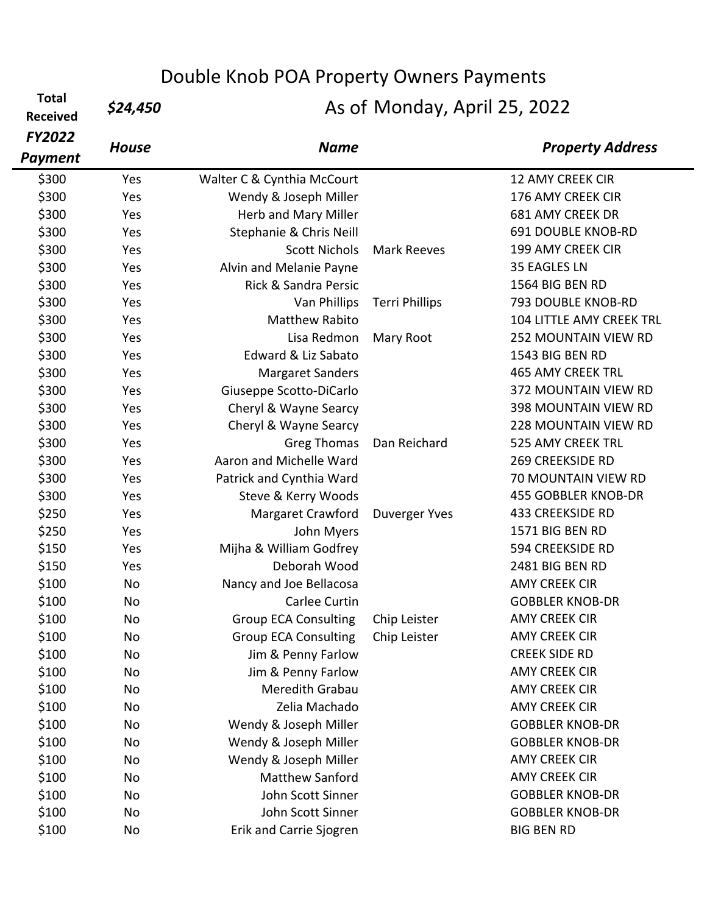**Total**  <sup>10tal</sup> \$24,450

| <b>FY2022</b>  | <b>House</b> | <b>Name</b>                     |                       | <b>Property Address</b>   |
|----------------|--------------|---------------------------------|-----------------------|---------------------------|
| <b>Payment</b> |              |                                 |                       |                           |
| \$300          | Yes          | Walter C & Cynthia McCourt      |                       | <b>12 AMY CREEK CIR</b>   |
| \$300          | Yes          | Wendy & Joseph Miller           |                       | 176 AMY CREEK CIR         |
| \$300          | Yes          | Herb and Mary Miller            |                       | <b>681 AMY CREEK DR</b>   |
| \$300          | Yes          | Stephanie & Chris Neill         |                       | <b>691 DOUBLE KNOB-RD</b> |
| \$300          | Yes          | <b>Scott Nichols</b>            | <b>Mark Reeves</b>    | 199 AMY CREEK CIR         |
| \$300          | Yes          | Alvin and Melanie Payne         |                       | 35 EAGLES LN              |
| \$300          | Yes          | <b>Rick &amp; Sandra Persic</b> |                       | 1564 BIG BEN RD           |
| \$300          | Yes          | Van Phillips                    | <b>Terri Phillips</b> | 793 DOUBLE KNOB-RD        |
| \$300          | Yes          | <b>Matthew Rabito</b>           |                       | 104 LITTLE AMY CREEK TRL  |
| \$300          | Yes          | Lisa Redmon                     | Mary Root             | 252 MOUNTAIN VIEW RD      |
| \$300          | Yes          | Edward & Liz Sabato             |                       | 1543 BIG BEN RD           |
| \$300          | Yes          | <b>Margaret Sanders</b>         |                       | <b>465 AMY CREEK TRL</b>  |
| \$300          | Yes          | Giuseppe Scotto-DiCarlo         |                       | 372 MOUNTAIN VIEW RD      |
| \$300          | Yes          | Cheryl & Wayne Searcy           |                       | 398 MOUNTAIN VIEW RD      |
| \$300          | Yes          | Cheryl & Wayne Searcy           |                       | 228 MOUNTAIN VIEW RD      |
| \$300          | Yes          | Greg Thomas                     | Dan Reichard          | 525 AMY CREEK TRL         |
| \$300          | Yes          | Aaron and Michelle Ward         |                       | <b>269 CREEKSIDE RD</b>   |
| \$300          | Yes          | Patrick and Cynthia Ward        |                       | 70 MOUNTAIN VIEW RD       |
| \$300          | Yes          | Steve & Kerry Woods             |                       | 455 GOBBLER KNOB-DR       |
| \$250          | Yes          | Margaret Crawford               | Duverger Yves         | <b>433 CREEKSIDE RD</b>   |
| \$250          | Yes          | John Myers                      |                       | 1571 BIG BEN RD           |
| \$150          | Yes          | Mijha & William Godfrey         |                       | 594 CREEKSIDE RD          |
| \$150          | Yes          | Deborah Wood                    |                       | 2481 BIG BEN RD           |
| \$100          | No           | Nancy and Joe Bellacosa         |                       | <b>AMY CREEK CIR</b>      |
| \$100          | No           | Carlee Curtin                   |                       | <b>GOBBLER KNOB-DR</b>    |
| \$100          | No           | <b>Group ECA Consulting</b>     | Chip Leister          | <b>AMY CREEK CIR</b>      |
| \$100          | No           | <b>Group ECA Consulting</b>     | Chip Leister          | <b>AMY CREEK CIR</b>      |
| \$100          | No           | Jim & Penny Farlow              |                       | <b>CREEK SIDE RD</b>      |
| \$100          | No           | Jim & Penny Farlow              |                       | <b>AMY CREEK CIR</b>      |
| \$100          | No           | Meredith Grabau                 |                       | <b>AMY CREEK CIR</b>      |
| \$100          | No           | Zelia Machado                   |                       | <b>AMY CREEK CIR</b>      |
| \$100          | No           | Wendy & Joseph Miller           |                       | <b>GOBBLER KNOB-DR</b>    |
| \$100          | No           | Wendy & Joseph Miller           |                       | <b>GOBBLER KNOB-DR</b>    |
| \$100          | No           | Wendy & Joseph Miller           |                       | <b>AMY CREEK CIR</b>      |
| \$100          | No           | <b>Matthew Sanford</b>          |                       | <b>AMY CREEK CIR</b>      |
| \$100          | No           | John Scott Sinner               |                       | <b>GOBBLER KNOB-DR</b>    |
| \$100          | No           | John Scott Sinner               |                       | <b>GOBBLER KNOB-DR</b>    |
| \$100          | No           | Erik and Carrie Sjogren         |                       | <b>BIG BEN RD</b>         |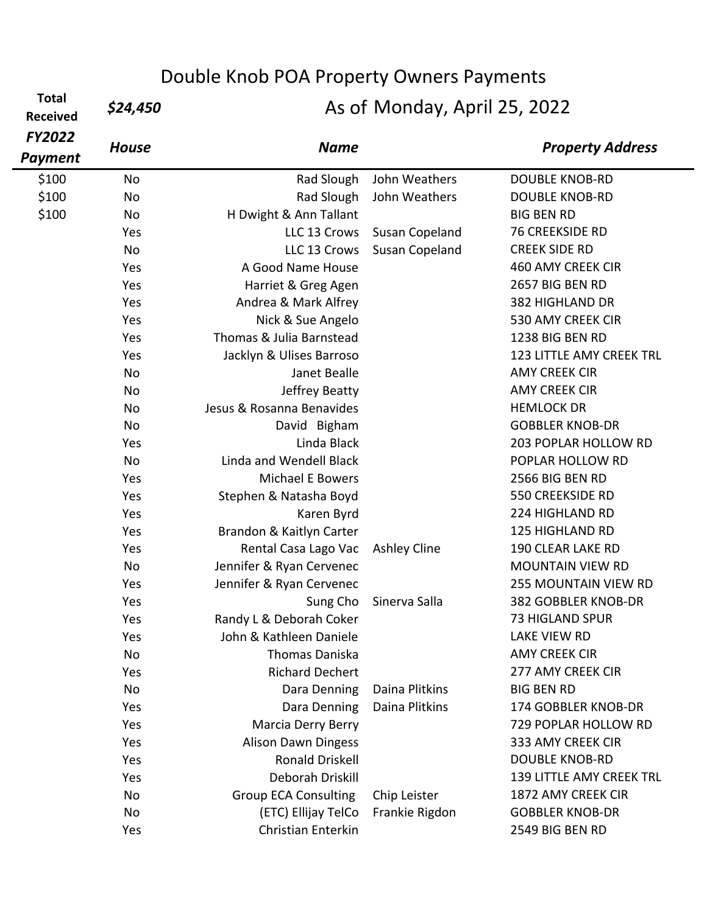**Total**  Total *\$24,450*<br>Received *\$24,450* 

| <b>FY2022</b><br><b>Payment</b> | <b>House</b> | <b>Name</b>                 |                     | <b>Property Address</b>         |
|---------------------------------|--------------|-----------------------------|---------------------|---------------------------------|
| \$100                           | No           | Rad Slough                  | John Weathers       | <b>DOUBLE KNOB-RD</b>           |
| \$100                           | No           | Rad Slough                  | John Weathers       | <b>DOUBLE KNOB-RD</b>           |
| \$100                           | No           | H Dwight & Ann Tallant      |                     | <b>BIG BEN RD</b>               |
|                                 | Yes          | LLC 13 Crows                | Susan Copeland      | <b>76 CREEKSIDE RD</b>          |
|                                 | No           | LLC 13 Crows                | Susan Copeland      | <b>CREEK SIDE RD</b>            |
|                                 | Yes          | A Good Name House           |                     | 460 AMY CREEK CIR               |
|                                 | Yes          | Harriet & Greg Agen         |                     | 2657 BIG BEN RD                 |
|                                 | Yes          | Andrea & Mark Alfrey        |                     | 382 HIGHLAND DR                 |
|                                 | Yes          | Nick & Sue Angelo           |                     | 530 AMY CREEK CIR               |
|                                 | Yes          | Thomas & Julia Barnstead    |                     | 1238 BIG BEN RD                 |
|                                 | Yes          | Jacklyn & Ulises Barroso    |                     | 123 LITTLE AMY CREEK TRL        |
|                                 | No           | Janet Bealle                |                     | <b>AMY CREEK CIR</b>            |
|                                 | No           | Jeffrey Beatty              |                     | <b>AMY CREEK CIR</b>            |
|                                 | No           | Jesus & Rosanna Benavides   |                     | <b>HEMLOCK DR</b>               |
|                                 | No           | David Bigham                |                     | <b>GOBBLER KNOB-DR</b>          |
|                                 | Yes          | Linda Black                 |                     | 203 POPLAR HOLLOW RD            |
|                                 | No           | Linda and Wendell Black     |                     | POPLAR HOLLOW RD                |
|                                 | Yes          | <b>Michael E Bowers</b>     |                     | 2566 BIG BEN RD                 |
|                                 | Yes          | Stephen & Natasha Boyd      |                     | <b>550 CREEKSIDE RD</b>         |
|                                 | Yes          | Karen Byrd                  |                     | 224 HIGHLAND RD                 |
|                                 | Yes          | Brandon & Kaitlyn Carter    |                     | <b>125 HIGHLAND RD</b>          |
|                                 | Yes          | Rental Casa Lago Vac        | <b>Ashley Cline</b> | 190 CLEAR LAKE RD               |
|                                 | No           | Jennifer & Ryan Cervenec    |                     | <b>MOUNTAIN VIEW RD</b>         |
|                                 | Yes          | Jennifer & Ryan Cervenec    |                     | <b>255 MOUNTAIN VIEW RD</b>     |
|                                 | Yes          | Sung Cho                    | Sinerva Salla       | 382 GOBBLER KNOB-DR             |
|                                 | Yes          | Randy L & Deborah Coker     |                     | <b>73 HIGLAND SPUR</b>          |
|                                 | Yes          | John & Kathleen Daniele     |                     | LAKE VIEW RD                    |
|                                 | No           | <b>Thomas Daniska</b>       |                     | <b>AMY CREEK CIR</b>            |
|                                 | Yes          | <b>Richard Dechert</b>      |                     | 277 AMY CREEK CIR               |
|                                 | No           | Dara Denning                | Daina Plitkins      | <b>BIG BEN RD</b>               |
|                                 | Yes          | Dara Denning                | Daina Plitkins      | 174 GOBBLER KNOB-DR             |
|                                 | Yes          | <b>Marcia Derry Berry</b>   |                     | 729 POPLAR HOLLOW RD            |
|                                 | Yes          | <b>Alison Dawn Dingess</b>  |                     | 333 AMY CREEK CIR               |
|                                 | Yes          | <b>Ronald Driskell</b>      |                     | <b>DOUBLE KNOB-RD</b>           |
|                                 | Yes          | Deborah Driskill            |                     | <b>139 LITTLE AMY CREEK TRL</b> |
|                                 | <b>No</b>    | <b>Group ECA Consulting</b> | Chip Leister        | 1872 AMY CREEK CIR              |
|                                 | No           | (ETC) Ellijay TelCo         | Frankie Rigdon      | <b>GOBBLER KNOB-DR</b>          |
|                                 | Yes          | Christian Enterkin          |                     | 2549 BIG BEN RD                 |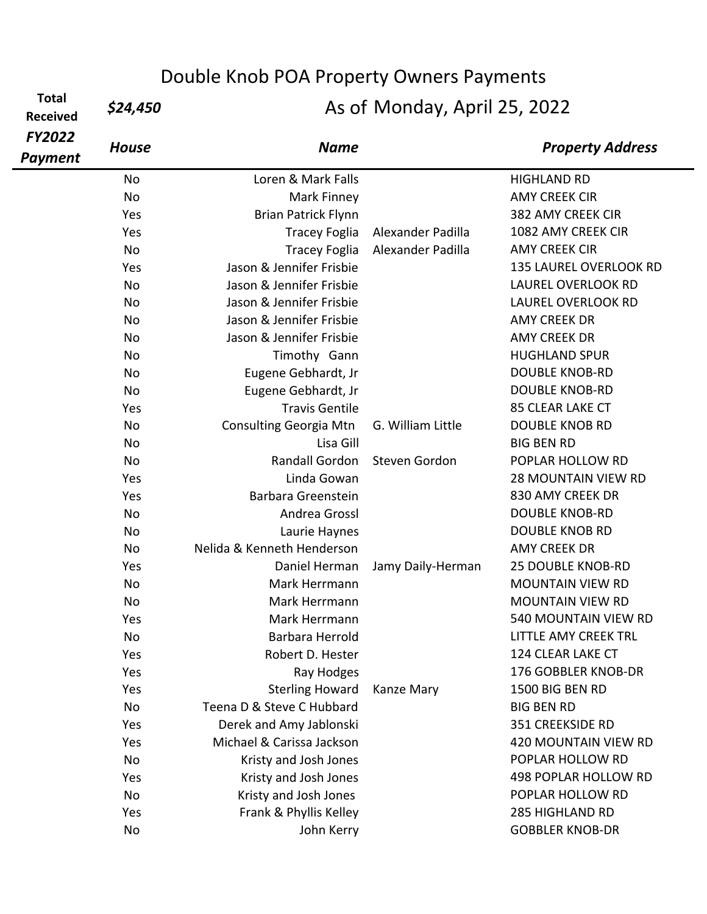**Total**  Total *\$24,450*<br>Received *\$24,450* 

| <b>FY2022</b><br><b>Payment</b> | <b>House</b> | <b>Name</b>                |                   | <b>Property Address</b>     |
|---------------------------------|--------------|----------------------------|-------------------|-----------------------------|
|                                 | No           | Loren & Mark Falls         |                   | <b>HIGHLAND RD</b>          |
|                                 | No           | Mark Finney                |                   | <b>AMY CREEK CIR</b>        |
|                                 | Yes          | <b>Brian Patrick Flynn</b> |                   | 382 AMY CREEK CIR           |
|                                 | Yes          | <b>Tracey Foglia</b>       | Alexander Padilla | 1082 AMY CREEK CIR          |
|                                 | No           | <b>Tracey Foglia</b>       | Alexander Padilla | <b>AMY CREEK CIR</b>        |
|                                 | Yes          | Jason & Jennifer Frisbie   |                   | 135 LAUREL OVERLOOK RD      |
|                                 | <b>No</b>    | Jason & Jennifer Frisbie   |                   | <b>LAUREL OVERLOOK RD</b>   |
|                                 | <b>No</b>    | Jason & Jennifer Frisbie   |                   | <b>LAUREL OVERLOOK RD</b>   |
|                                 | <b>No</b>    | Jason & Jennifer Frisbie   |                   | <b>AMY CREEK DR</b>         |
|                                 | No           | Jason & Jennifer Frisbie   |                   | <b>AMY CREEK DR</b>         |
|                                 | No           | Timothy Gann               |                   | <b>HUGHLAND SPUR</b>        |
|                                 | No           | Eugene Gebhardt, Jr        |                   | <b>DOUBLE KNOB-RD</b>       |
|                                 | No           | Eugene Gebhardt, Jr        |                   | <b>DOUBLE KNOB-RD</b>       |
|                                 | Yes          | <b>Travis Gentile</b>      |                   | 85 CLEAR LAKE CT            |
|                                 | No           | Consulting Georgia Mtn     | G. William Little | <b>DOUBLE KNOB RD</b>       |
|                                 | No           | Lisa Gill                  |                   | <b>BIG BEN RD</b>           |
|                                 | No           | Randall Gordon             | Steven Gordon     | POPLAR HOLLOW RD            |
|                                 | Yes          | Linda Gowan                |                   | <b>28 MOUNTAIN VIEW RD</b>  |
|                                 | Yes          | Barbara Greenstein         |                   | 830 AMY CREEK DR            |
|                                 | No           | Andrea Grossl              |                   | <b>DOUBLE KNOB-RD</b>       |
|                                 | No           | Laurie Haynes              |                   | <b>DOUBLE KNOB RD</b>       |
|                                 | No           | Nelida & Kenneth Henderson |                   | <b>AMY CREEK DR</b>         |
|                                 | Yes          | Daniel Herman              | Jamy Daily-Herman | <b>25 DOUBLE KNOB-RD</b>    |
|                                 | No           | Mark Herrmann              |                   | <b>MOUNTAIN VIEW RD</b>     |
|                                 | No           | Mark Herrmann              |                   | <b>MOUNTAIN VIEW RD</b>     |
|                                 | Yes          | Mark Herrmann              |                   | 540 MOUNTAIN VIEW RD        |
|                                 | No           | <b>Barbara Herrold</b>     |                   | <b>LITTLE AMY CREEK TRL</b> |
|                                 | Yes          | Robert D. Hester           |                   | 124 CLEAR LAKE CT           |
|                                 | Yes          | Ray Hodges                 |                   | 176 GOBBLER KNOB-DR         |
|                                 | Yes          | <b>Sterling Howard</b>     | Kanze Mary        | 1500 BIG BEN RD             |
|                                 | No           | Teena D & Steve C Hubbard  |                   | <b>BIG BEN RD</b>           |
|                                 | Yes          | Derek and Amy Jablonski    |                   | <b>351 CREEKSIDE RD</b>     |
|                                 | Yes          | Michael & Carissa Jackson  |                   | 420 MOUNTAIN VIEW RD        |
|                                 | No           | Kristy and Josh Jones      |                   | POPLAR HOLLOW RD            |
|                                 | Yes          | Kristy and Josh Jones      |                   | 498 POPLAR HOLLOW RD        |
|                                 | No           | Kristy and Josh Jones      |                   | POPLAR HOLLOW RD            |
|                                 | Yes          | Frank & Phyllis Kelley     |                   | <b>285 HIGHLAND RD</b>      |
|                                 | No           | John Kerry                 |                   | <b>GOBBLER KNOB-DR</b>      |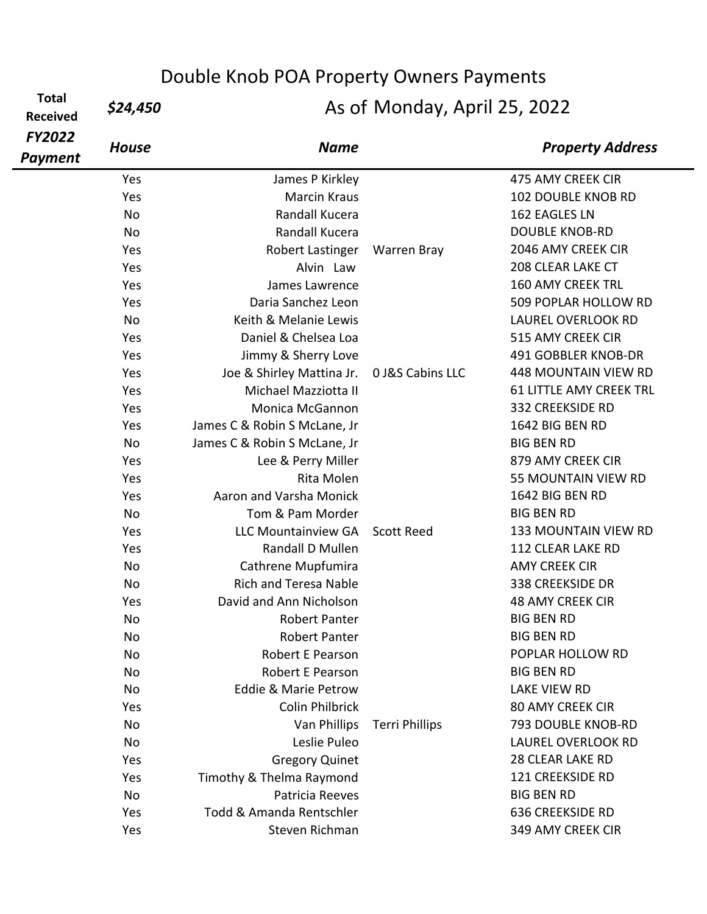**Total**  riotal **\$24,450** 

| <b>FY2022</b><br>Payment | <b>House</b> | <b>Name</b>                     |                       | <b>Property Address</b>        |
|--------------------------|--------------|---------------------------------|-----------------------|--------------------------------|
|                          | Yes          | James P Kirkley                 |                       | 475 AMY CREEK CIR              |
|                          | Yes          | <b>Marcin Kraus</b>             |                       | <b>102 DOUBLE KNOB RD</b>      |
|                          | <b>No</b>    | Randall Kucera                  |                       | 162 EAGLES LN                  |
|                          | <b>No</b>    | Randall Kucera                  |                       | <b>DOUBLE KNOB-RD</b>          |
|                          | Yes          | Robert Lastinger                | <b>Warren Bray</b>    | 2046 AMY CREEK CIR             |
|                          | Yes          | Alvin Law                       |                       | 208 CLEAR LAKE CT              |
|                          | Yes          | James Lawrence                  |                       | <b>160 AMY CREEK TRL</b>       |
|                          | Yes          | Daria Sanchez Leon              |                       | 509 POPLAR HOLLOW RD           |
|                          | <b>No</b>    | Keith & Melanie Lewis           |                       | <b>LAUREL OVERLOOK RD</b>      |
|                          | Yes          | Daniel & Chelsea Loa            |                       | 515 AMY CREEK CIR              |
|                          | Yes          | Jimmy & Sherry Love             |                       | 491 GOBBLER KNOB-DR            |
|                          | Yes          | Joe & Shirley Mattina Jr.       | 0 J&S Cabins LLC      | <b>448 MOUNTAIN VIEW RD</b>    |
|                          | Yes          | Michael Mazziotta II            |                       | <b>61 LITTLE AMY CREEK TRL</b> |
|                          | Yes          | Monica McGannon                 |                       | 332 CREEKSIDE RD               |
|                          | Yes          | James C & Robin S McLane, Jr    |                       | 1642 BIG BEN RD                |
|                          | <b>No</b>    | James C & Robin S McLane, Jr    |                       | <b>BIG BEN RD</b>              |
|                          | Yes          | Lee & Perry Miller              |                       | 879 AMY CREEK CIR              |
|                          | Yes          | Rita Molen                      |                       | 55 MOUNTAIN VIEW RD            |
|                          | Yes          | Aaron and Varsha Monick         |                       | 1642 BIG BEN RD                |
|                          | <b>No</b>    | Tom & Pam Morder                |                       | <b>BIG BEN RD</b>              |
|                          | Yes          | <b>LLC Mountainview GA</b>      | <b>Scott Reed</b>     | <b>133 MOUNTAIN VIEW RD</b>    |
|                          | Yes          | Randall D Mullen                |                       | 112 CLEAR LAKE RD              |
|                          | <b>No</b>    | Cathrene Mupfumira              |                       | <b>AMY CREEK CIR</b>           |
|                          | No           | <b>Rich and Teresa Nable</b>    |                       | 338 CREEKSIDE DR               |
|                          | Yes          | David and Ann Nicholson         |                       | <b>48 AMY CREEK CIR</b>        |
|                          | No           | <b>Robert Panter</b>            |                       | <b>BIG BEN RD</b>              |
|                          | No           | <b>Robert Panter</b>            |                       | <b>BIG BEN RD</b>              |
|                          | No           | Robert E Pearson                |                       | POPLAR HOLLOW RD               |
|                          | No           | Robert E Pearson                |                       | <b>BIG BEN RD</b>              |
|                          | No           | <b>Eddie &amp; Marie Petrow</b> |                       | LAKE VIEW RD                   |
|                          | Yes          | <b>Colin Philbrick</b>          |                       | <b>80 AMY CREEK CIR</b>        |
|                          | No           | Van Phillips                    | <b>Terri Phillips</b> | 793 DOUBLE KNOB-RD             |
|                          | No           | Leslie Puleo                    |                       | <b>LAUREL OVERLOOK RD</b>      |
|                          | Yes          | <b>Gregory Quinet</b>           |                       | <b>28 CLEAR LAKE RD</b>        |
|                          | Yes          | Timothy & Thelma Raymond        |                       | <b>121 CREEKSIDE RD</b>        |
|                          | No           | Patricia Reeves                 |                       | <b>BIG BEN RD</b>              |
|                          | Yes          | Todd & Amanda Rentschler        |                       | 636 CREEKSIDE RD               |
|                          | Yes          | Steven Richman                  |                       | 349 AMY CREEK CIR              |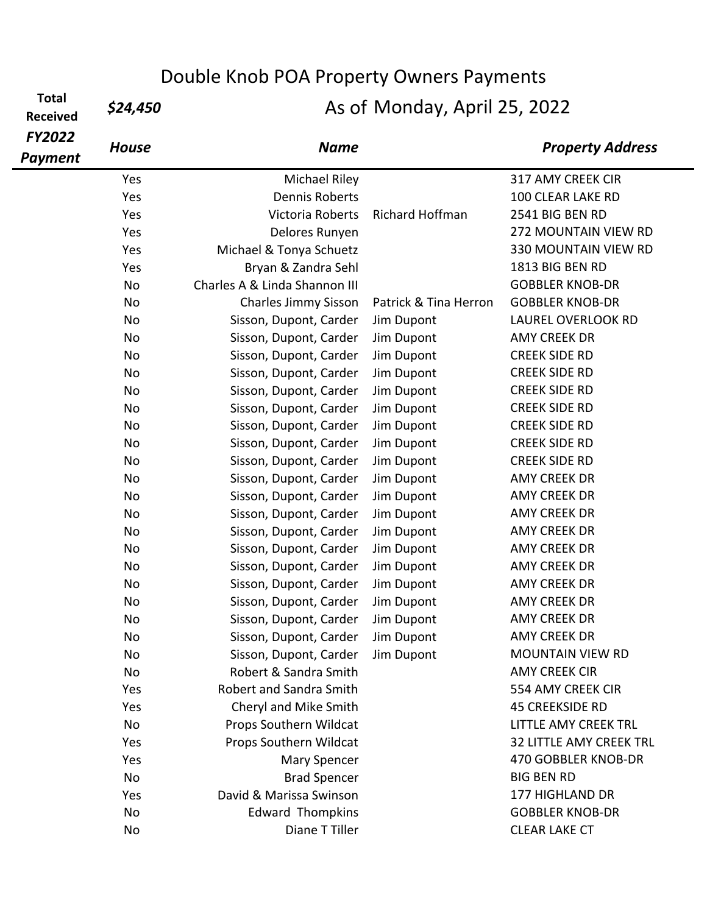**Total**  rotal **\$24,450**<br>Received

| <b>FY2022</b><br><b>Payment</b> | <b>House</b> | <b>Name</b>                   |                        | <b>Property Address</b>        |
|---------------------------------|--------------|-------------------------------|------------------------|--------------------------------|
|                                 | Yes          | <b>Michael Riley</b>          |                        | 317 AMY CREEK CIR              |
|                                 | Yes          | <b>Dennis Roberts</b>         |                        | 100 CLEAR LAKE RD              |
|                                 | Yes          | Victoria Roberts              | <b>Richard Hoffman</b> | 2541 BIG BEN RD                |
|                                 | Yes          | Delores Runyen                |                        | 272 MOUNTAIN VIEW RD           |
|                                 | Yes          | Michael & Tonya Schuetz       |                        | <b>330 MOUNTAIN VIEW RD</b>    |
|                                 | Yes          | Bryan & Zandra Sehl           |                        | 1813 BIG BEN RD                |
|                                 | No           | Charles A & Linda Shannon III |                        | <b>GOBBLER KNOB-DR</b>         |
|                                 | No           | <b>Charles Jimmy Sisson</b>   | Patrick & Tina Herron  | <b>GOBBLER KNOB-DR</b>         |
|                                 | No           | Sisson, Dupont, Carder        | Jim Dupont             | <b>LAUREL OVERLOOK RD</b>      |
|                                 | No           | Sisson, Dupont, Carder        | Jim Dupont             | <b>AMY CREEK DR</b>            |
|                                 | No           | Sisson, Dupont, Carder        | Jim Dupont             | <b>CREEK SIDE RD</b>           |
|                                 | No           | Sisson, Dupont, Carder        | Jim Dupont             | <b>CREEK SIDE RD</b>           |
|                                 | No           | Sisson, Dupont, Carder        | Jim Dupont             | <b>CREEK SIDE RD</b>           |
|                                 | No           | Sisson, Dupont, Carder        | Jim Dupont             | <b>CREEK SIDE RD</b>           |
|                                 | No           | Sisson, Dupont, Carder        | Jim Dupont             | <b>CREEK SIDE RD</b>           |
|                                 | No           | Sisson, Dupont, Carder        | Jim Dupont             | <b>CREEK SIDE RD</b>           |
|                                 | No           | Sisson, Dupont, Carder        | Jim Dupont             | <b>CREEK SIDE RD</b>           |
|                                 | No           | Sisson, Dupont, Carder        | Jim Dupont             | <b>AMY CREEK DR</b>            |
|                                 | No           | Sisson, Dupont, Carder        | Jim Dupont             | <b>AMY CREEK DR</b>            |
|                                 | No           | Sisson, Dupont, Carder        | Jim Dupont             | <b>AMY CREEK DR</b>            |
|                                 | No           | Sisson, Dupont, Carder        | Jim Dupont             | <b>AMY CREEK DR</b>            |
|                                 | No           | Sisson, Dupont, Carder        | Jim Dupont             | <b>AMY CREEK DR</b>            |
|                                 | No           | Sisson, Dupont, Carder        | Jim Dupont             | <b>AMY CREEK DR</b>            |
|                                 | No           | Sisson, Dupont, Carder        | Jim Dupont             | <b>AMY CREEK DR</b>            |
|                                 | No           | Sisson, Dupont, Carder        | Jim Dupont             | <b>AMY CREEK DR</b>            |
|                                 | No           | Sisson, Dupont, Carder        | Jim Dupont             | <b>AMY CREEK DR</b>            |
|                                 | No           | Sisson, Dupont, Carder        | Jim Dupont             | <b>AMY CREEK DR</b>            |
|                                 | No           | Sisson, Dupont, Carder        | Jim Dupont             | <b>MOUNTAIN VIEW RD</b>        |
|                                 | No           | Robert & Sandra Smith         |                        | <b>AMY CREEK CIR</b>           |
|                                 | Yes          | Robert and Sandra Smith       |                        | 554 AMY CREEK CIR              |
|                                 | Yes          | Cheryl and Mike Smith         |                        | <b>45 CREEKSIDE RD</b>         |
|                                 | No           | Props Southern Wildcat        |                        | LITTLE AMY CREEK TRL           |
|                                 | Yes          | Props Southern Wildcat        |                        | <b>32 LITTLE AMY CREEK TRL</b> |
|                                 | Yes          | <b>Mary Spencer</b>           |                        | 470 GOBBLER KNOB-DR            |
|                                 | No           | <b>Brad Spencer</b>           |                        | <b>BIG BEN RD</b>              |
|                                 | Yes          | David & Marissa Swinson       |                        | 177 HIGHLAND DR                |
|                                 | No           | <b>Edward Thompkins</b>       |                        | <b>GOBBLER KNOB-DR</b>         |
|                                 | No           | Diane T Tiller                |                        | <b>CLEAR LAKE CT</b>           |
|                                 |              |                               |                        |                                |